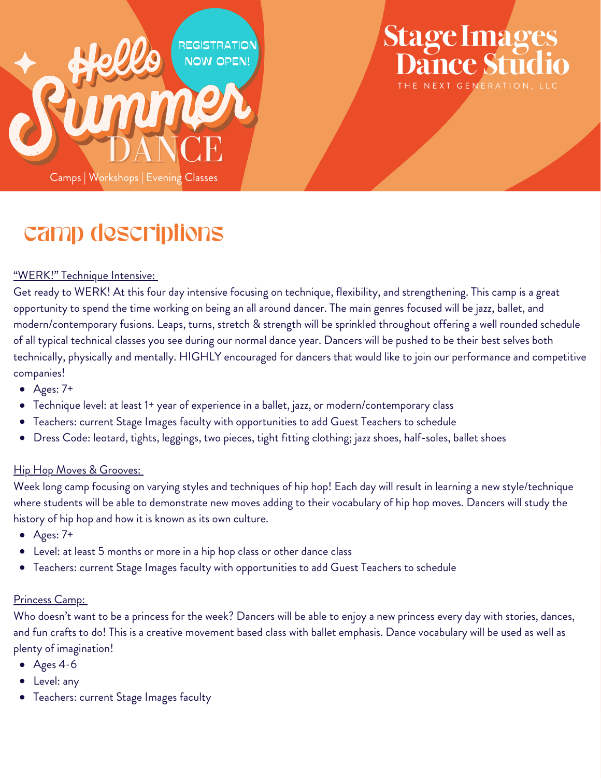

## **Stage Image** NEXT GENERATION IIC

### camp descriptions

#### "WERK!" Technique Intensive:

Get ready to WERK! At this four day intensive focusing on technique, flexibility, and strengthening. This camp is a great opportunity to spend the time working on being an all around dancer. The main genres focused will be jazz, ballet, and modern/contemporary fusions. Leaps, turns, stretch & strength will be sprinkled throughout offering a well rounded schedule of all typical technical classes you see during our normal dance year. Dancers will be pushed to be their best selves both technically, physically and mentally. HIGHLY encouraged for dancers that would like to join our performance and competitive companies!

- $\bullet$  Ages: 7+
- Technique level: at least 1+ year of experience in a ballet, jazz, or modern/contemporary class
- Teachers: current Stage Images faculty with opportunities to add Guest Teachers to schedule
- Dress Code: leotard, tights, leggings, two pieces, tight fitting clothing; jazz shoes, half-soles, ballet shoes

#### Hip Hop Moves & Grooves:

Week long camp focusing on varying styles and techniques of hip hop! Each day will result in learning a new style/technique where students will be able to demonstrate new moves adding to their vocabulary of hip hop moves. Dancers will study the history of hip hop and how it is known as its own culture.

- $\bullet$  Ages: 7+
- Level: at least 5 months or more in a hip hop class or other dance class
- Teachers: current Stage Images faculty with opportunities to add Guest Teachers to schedule

#### Princess Camp:

Who doesn't want to be a princess for the week? Dancers will be able to enjoy a new princess every day with stories, dances, and fun crafts to do! This is a creative movement based class with ballet emphasis. Dance vocabulary will be used as well as plenty of imagination!

- $\bullet$  Ages 4-6
- Level: any
- Teachers: current Stage Images faculty